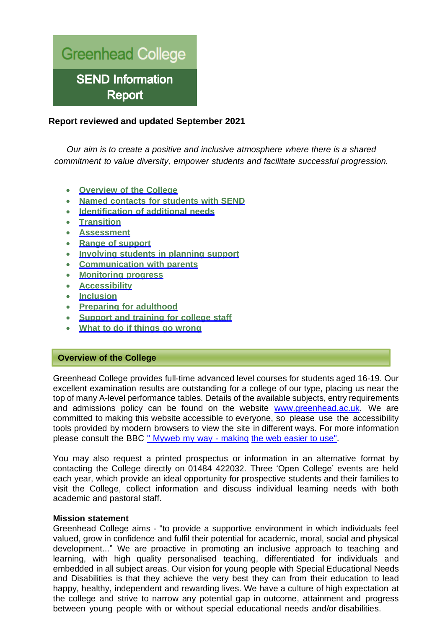

# **Report reviewed and updated September 2021**

*Our aim is to create a positive and inclusive atmosphere where there is a shared commitment to value diversity, empower students and facilitate successful progression.*

- **Overview of the College**
- **Named contacts for students with SEND**
- **Identification of additional needs**
- **Transition**
- **Assessment**
- **Range of support**
- **Involving students in planning support**
- **Communication with parents**
- **Monitoring progress**
- **Accessibility**
- **Inclusion**
- **Preparing for adulthood**
- **Support and training for college staff**
- **What to do if things go wrong**

### **Overview of the College**

Greenhead College provides full-time advanced level courses for students aged 16-19. Our excellent examination results are outstanding for a college of our type, placing us near the top of many A-level performance tables. Details of the available subjects, entry requirements and admissions policy can be found on the website [www.greenhead.ac.uk.](http://www.greenhead.ac.uk/) We are committed to making this website accessible to everyone, so please use the accessibility tools provided by modern browsers to view the site in different ways. For more information please consult the BBC " Myweb my way - making the web easier to use".

You may also request a printed prospectus or information in an alternative format by contacting the College directly on 01484 422032. Three 'Open College' events are held each year, which provide an ideal opportunity for prospective students and their families to visit the College, collect information and discuss individual learning needs with both academic and pastoral staff.

#### **Mission statement**

Greenhead College aims - "to provide a supportive environment in which individuals feel valued, grow in confidence and fulfil their potential for academic, moral, social and physical development..." We are proactive in promoting an inclusive approach to teaching and learning, with high quality personalised teaching, differentiated for individuals and embedded in all subject areas. Our vision for young people with Special Educational Needs and Disabilities is that they achieve the very best they can from their education to lead happy, healthy, independent and rewarding lives. We have a culture of high expectation at the college and strive to narrow any potential gap in outcome, attainment and progress between young people with or without special educational needs and/or disabilities.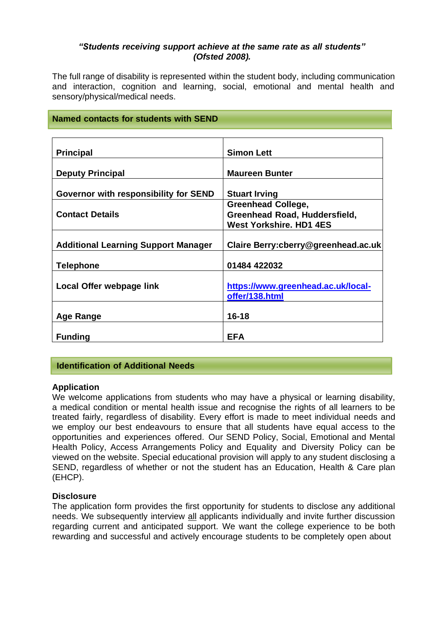## *"Students receiving support achieve at the same rate as all students" (Ofsted 2008).*

The full range of disability is represented within the student body, including communication and interaction, cognition and learning, social, emotional and mental health and sensory/physical/medical needs.

## **Named contacts for students with SEND**

| <b>Principal</b>                           | <b>Simon Lett</b>                                               |
|--------------------------------------------|-----------------------------------------------------------------|
| <b>Deputy Principal</b>                    | <b>Maureen Bunter</b>                                           |
| Governor with responsibility for SEND      | <b>Stuart Irving</b>                                            |
|                                            | <b>Greenhead College,</b>                                       |
| <b>Contact Details</b>                     | Greenhead Road, Huddersfield,<br><b>West Yorkshire, HD1 4ES</b> |
| <b>Additional Learning Support Manager</b> | Claire Berry: cberry@greenhead.ac.uk                            |
| <b>Telephone</b>                           | 01484 422032                                                    |
| Local Offer webpage link                   | https://www.greenhead.ac.uk/local-<br>offer/138.html            |
| <b>Age Range</b>                           | $16 - 18$                                                       |
| <b>Funding</b>                             | EFA                                                             |

# **Identification of Additional Needs**

## **Application**

We welcome applications from students who may have a physical or learning disability, a medical condition or mental health issue and recognise the rights of all learners to be treated fairly, regardless of disability. Every effort is made to meet individual needs and we employ our best endeavours to ensure that all students have equal access to the opportunities and experiences offered. Our SEND Policy, Social, Emotional and Mental Health Policy, Access Arrangements Policy and Equality and Diversity Policy can be viewed on the website. Special educational provision will apply to any student disclosing a SEND, regardless of whether or not the student has an Education, Health & Care plan (EHCP).

## **Disclosure**

The application form provides the first opportunity for students to disclose any additional needs. We subsequently interview all applicants individually and invite further discussion regarding current and anticipated support. We want the college experience to be both rewarding and successful and actively encourage students to be completely open about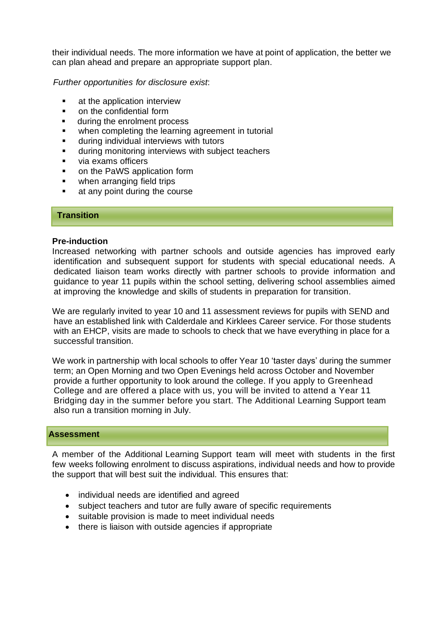their individual needs. The more information we have at point of application, the better we can plan ahead and prepare an appropriate support plan.

*Further opportunities for disclosure exist*:

- at the application interview
- on the confidential form
- during the enrolment process
- when completing the learning agreement in tutorial
- during individual interviews with tutors
- during monitoring interviews with subject teachers
- via exams officers
- on the PaWS application form
- when arranging field trips
- at any point during the course

### **Transition**

#### **Pre-induction**

Increased networking with partner schools and outside agencies has improved early identification and subsequent support for students with special educational needs. A dedicated liaison team works directly with partner schools to provide information and guidance to year 11 pupils within the school setting, delivering school assemblies aimed at improving the knowledge and skills of students in preparation for transition.

We are regularly invited to year 10 and 11 assessment reviews for pupils with SEND and have an established link with Calderdale and Kirklees Career service. For those students with an EHCP, visits are made to schools to check that we have everything in place for a successful transition.

We work in partnership with local schools to offer Year 10 'taster days' during the summer term; an Open Morning and two Open Evenings held across October and November provide a further opportunity to look around the college. If you apply to Greenhead College and are offered a place with us, you will be invited to attend a Year 11 Bridging day in the summer before you start. The Additional Learning Support team also run a transition morning in July.

#### **Assessment**

A member of the Additional Learning Support team will meet with students in the first few weeks following enrolment to discuss aspirations, individual needs and how to provide the support that will best suit the individual. This ensures that:

- individual needs are identified and agreed
- subject teachers and tutor are fully aware of specific requirements
- suitable provision is made to meet individual needs
- there is liaison with outside agencies if appropriate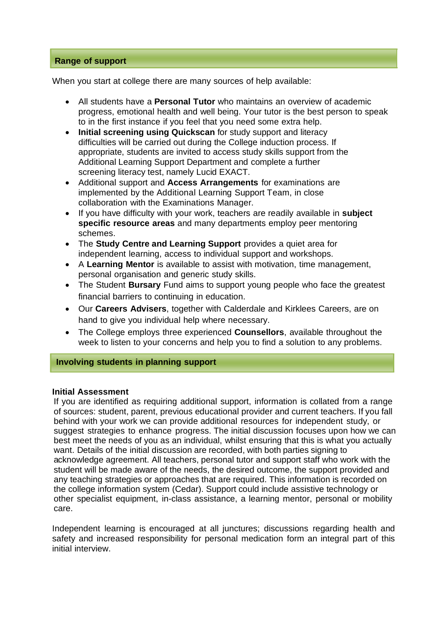## **Range of support**

When you start at college there are many sources of help available:

- All students have a **Personal Tutor** who maintains an overview of academic progress, emotional health and well being. Your tutor is the best person to speak to in the first instance if you feel that you need some extra help.
- **Initial screening using Quickscan** for study support and literacy difficulties will be carried out during the College induction process. If appropriate, students are invited to access study skills support from the Additional Learning Support Department and complete a further screening literacy test, namely Lucid EXACT.
- Additional support and **Access Arrangements** for examinations are implemented by the Additional Learning Support Team, in close collaboration with the Examinations Manager.
- If you have difficulty with your work, teachers are readily available in **subject specific resource areas** and many departments employ peer mentoring schemes.
- The **Study Centre and Learning Support** provides a quiet area for independent learning, access to individual support and workshops.
- A **Learning Mentor** is available to assist with motivation, time management, personal organisation and generic study skills.
- The Student **Bursary** Fund aims to support young people who face the greatest financial barriers to continuing in education.
- Our **Careers Advisers**, together with Calderdale and Kirklees Careers, are on hand to give you individual help where necessary.
- The College employs three experienced **Counsellors**, available throughout the week to listen to your concerns and help you to find a solution to any problems.

## **Involving students in planning support**

#### **Initial Assessment**

If you are identified as requiring additional support, information is collated from a range of sources: student, parent, previous educational provider and current teachers. If you fall behind with your work we can provide additional resources for independent study, or suggest strategies to enhance progress. The initial discussion focuses upon how we can best meet the needs of you as an individual, whilst ensuring that this is what you actually want. Details of the initial discussion are recorded, with both parties signing to acknowledge agreement. All teachers, personal tutor and support staff who work with the student will be made aware of the needs, the desired outcome, the support provided and any teaching strategies or approaches that are required. This information is recorded on the college information system (Cedar). Support could include assistive technology or other specialist equipment, in-class assistance, a learning mentor, personal or mobility care.

Independent learning is encouraged at all junctures; discussions regarding health and safety and increased responsibility for personal medication form an integral part of this initial interview.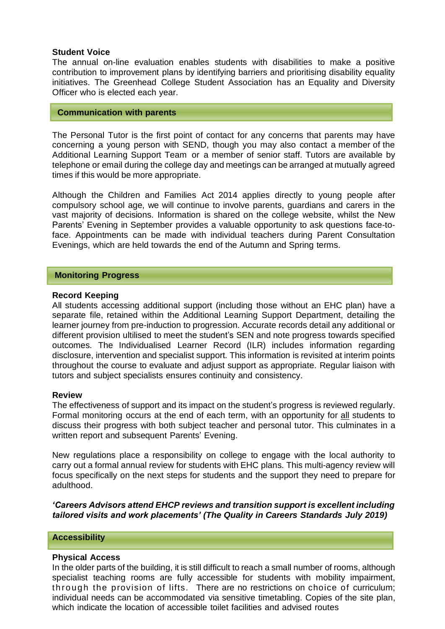## **Student Voice**

The annual on-line evaluation enables students with disabilities to make a positive contribution to improvement plans by identifying barriers and prioritising disability equality initiatives. The Greenhead College Student Association has an Equality and Diversity Officer who is elected each year.

#### **Communication with parents**

The Personal Tutor is the first point of contact for any concerns that parents may have concerning a young person with SEND, though you may also contact a member of the Additional Learning Support Team or a member of senior staff. Tutors are available by telephone or email during the college day and meetings can be arranged at mutually agreed times if this would be more appropriate.

Although the Children and Families Act 2014 applies directly to young people after compulsory school age, we will continue to involve parents, guardians and carers in the vast majority of decisions. Information is shared on the college website, whilst the New Parents' Evening in September provides a valuable opportunity to ask questions face-toface. Appointments can be made with individual teachers during Parent Consultation Evenings, which are held towards the end of the Autumn and Spring terms.

### **Monitoring Progress**

### **Record Keeping**

All students accessing additional support (including those without an EHC plan) have a separate file, retained within the Additional Learning Support Department, detailing the learner journey from pre-induction to progression. Accurate records detail any additional or different provision ultilised to meet the student's SEN and note progress towards specified outcomes. The Individualised Learner Record (ILR) includes information regarding disclosure, intervention and specialist support. This information is revisited at interim points throughout the course to evaluate and adjust support as appropriate. Regular liaison with tutors and subject specialists ensures continuity and consistency.

#### **Review**

The effectiveness of support and its impact on the student's progress is reviewed regularly. Formal monitoring occurs at the end of each term, with an opportunity for all students to discuss their progress with both subject teacher and personal tutor. This culminates in a written report and subsequent Parents' Evening.

New regulations place a responsibility on college to engage with the local authority to carry out a formal annual review for students with EHC plans. This multi-agency review will focus specifically on the next steps for students and the support they need to prepare for adulthood.

*'Careers Advisors attend EHCP reviews and transition support is excellent including tailored visits and work placements' (The Quality in Careers Standards July 2019)*

### **Accessibility**

#### **Physical Access**

In the older parts of the building, it is still difficult to reach a small number of rooms, although specialist teaching rooms are fully accessible for students with mobility impairment, through the provision of lifts. There are no restrictions on choice of curriculum; individual needs can be accommodated via sensitive timetabling. Copies of the site plan, which indicate the location of accessible toilet facilities and advised routes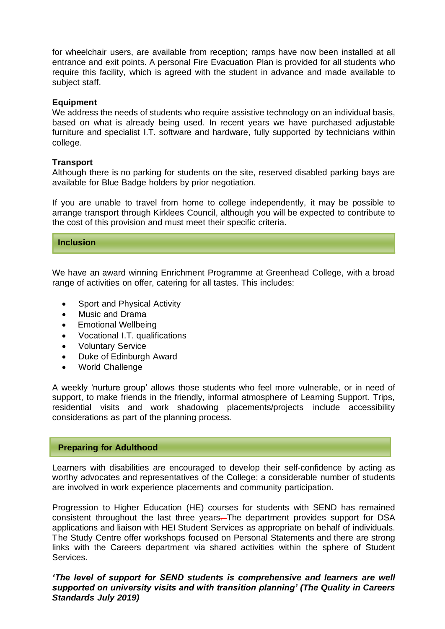for wheelchair users, are available from reception; ramps have now been installed at all entrance and exit points. A personal Fire Evacuation Plan is provided for all students who require this facility, which is agreed with the student in advance and made available to subject staff.

### **Equipment**

We address the needs of students who require assistive technology on an individual basis, based on what is already being used. In recent years we have purchased adjustable furniture and specialist I.T. software and hardware, fully supported by technicians within college.

### **Transport**

Although there is no parking for students on the site, reserved disabled parking bays are available for Blue Badge holders by prior negotiation.

If you are unable to travel from home to college independently, it may be possible to arrange transport through Kirklees Council, although you will be expected to contribute to the cost of this provision and must meet their specific criteria.

#### **Inclusion**

We have an award winning Enrichment Programme at Greenhead College, with a broad range of activities on offer, catering for all tastes. This includes:

- Sport and Physical Activity
- Music and Drama
- Emotional Wellbeing
- Vocational I.T. qualifications
- Voluntary Service
- Duke of Edinburgh Award
- World Challenge

A weekly 'nurture group' allows those students who feel more vulnerable, or in need of support, to make friends in the friendly, informal atmosphere of Learning Support. Trips, residential visits and work shadowing placements/projects include accessibility considerations as part of the planning process.

### **Preparing for Adulthood**

Learners with disabilities are encouraged to develop their self-confidence by acting as worthy advocates and representatives of the College; a considerable number of students are involved in work experience placements and community participation.

Progression to Higher Education (HE) courses for students with SEND has remained consistent throughout the last three years. The department provides support for DSA applications and liaison with HEI Student Services as appropriate on behalf of individuals. The Study Centre offer workshops focused on Personal Statements and there are strong links with the Careers department via shared activities within the sphere of Student Services.

*'The level of support for SEND students is comprehensive and learners are well supported on university visits and with transition planning' (The Quality in Careers Standards July 2019)*